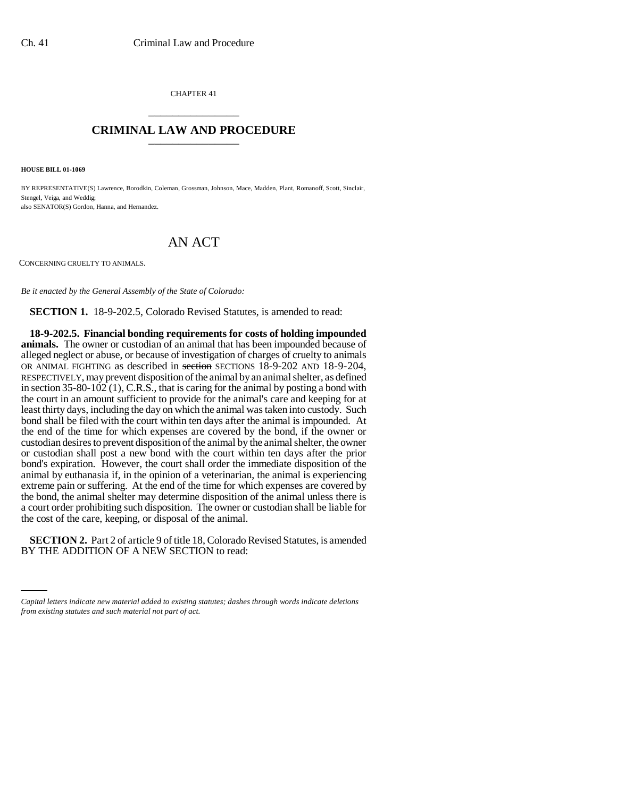CHAPTER 41 \_\_\_\_\_\_\_\_\_\_\_\_\_\_\_

## **CRIMINAL LAW AND PROCEDURE** \_\_\_\_\_\_\_\_\_\_\_\_\_\_\_

**HOUSE BILL 01-1069**

BY REPRESENTATIVE(S) Lawrence, Borodkin, Coleman, Grossman, Johnson, Mace, Madden, Plant, Romanoff, Scott, Sinclair, Stengel, Veiga, and Weddig; also SENATOR(S) Gordon, Hanna, and Hernandez.

## AN ACT

CONCERNING CRUELTY TO ANIMALS.

*Be it enacted by the General Assembly of the State of Colorado:*

**SECTION 1.** 18-9-202.5, Colorado Revised Statutes, is amended to read:

**18-9-202.5. Financial bonding requirements for costs of holding impounded animals.** The owner or custodian of an animal that has been impounded because of alleged neglect or abuse, or because of investigation of charges of cruelty to animals OR ANIMAL FIGHTING as described in section SECTIONS 18-9-202 AND 18-9-204, RESPECTIVELY, may prevent disposition of the animal by an animal shelter, as defined in section  $35-80-102$  (1), C.R.S., that is caring for the animal by posting a bond with the court in an amount sufficient to provide for the animal's care and keeping for at least thirty days, including the day on which the animal was taken into custody. Such bond shall be filed with the court within ten days after the animal is impounded. At the end of the time for which expenses are covered by the bond, if the owner or custodian desires to prevent disposition of the animal by the animal shelter, the owner or custodian shall post a new bond with the court within ten days after the prior bond's expiration. However, the court shall order the immediate disposition of the animal by euthanasia if, in the opinion of a veterinarian, the animal is experiencing extreme pain or suffering. At the end of the time for which expenses are covered by the bond, the animal shelter may determine disposition of the animal unless there is a court order prohibiting such disposition. The owner or custodian shall be liable for the cost of the care, keeping, or disposal of the animal.

 **SECTION 2.** Part 2 of article 9 of title 18, Colorado Revised Statutes, is amended BY THE ADDITION OF A NEW SECTION to read:

*Capital letters indicate new material added to existing statutes; dashes through words indicate deletions from existing statutes and such material not part of act.*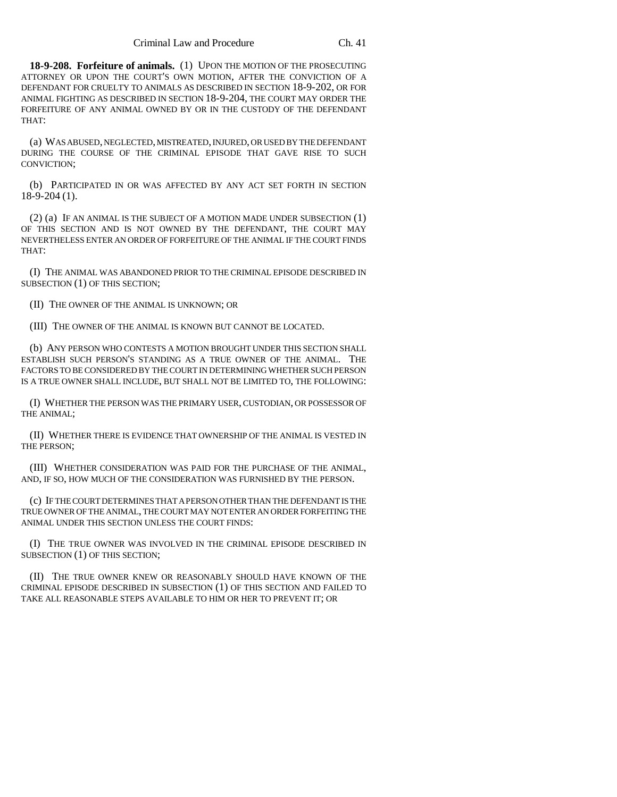**18-9-208. Forfeiture of animals.** (1) UPON THE MOTION OF THE PROSECUTING ATTORNEY OR UPON THE COURT'S OWN MOTION, AFTER THE CONVICTION OF A DEFENDANT FOR CRUELTY TO ANIMALS AS DESCRIBED IN SECTION 18-9-202, OR FOR ANIMAL FIGHTING AS DESCRIBED IN SECTION 18-9-204, THE COURT MAY ORDER THE FORFEITURE OF ANY ANIMAL OWNED BY OR IN THE CUSTODY OF THE DEFENDANT THAT:

(a) WAS ABUSED, NEGLECTED, MISTREATED, INJURED, OR USED BY THE DEFENDANT DURING THE COURSE OF THE CRIMINAL EPISODE THAT GAVE RISE TO SUCH CONVICTION;

(b) PARTICIPATED IN OR WAS AFFECTED BY ANY ACT SET FORTH IN SECTION 18-9-204 (1).

(2) (a) IF AN ANIMAL IS THE SUBJECT OF A MOTION MADE UNDER SUBSECTION (1) OF THIS SECTION AND IS NOT OWNED BY THE DEFENDANT, THE COURT MAY NEVERTHELESS ENTER AN ORDER OF FORFEITURE OF THE ANIMAL IF THE COURT FINDS THAT:

(I) THE ANIMAL WAS ABANDONED PRIOR TO THE CRIMINAL EPISODE DESCRIBED IN SUBSECTION (1) OF THIS SECTION;

(II) THE OWNER OF THE ANIMAL IS UNKNOWN; OR

(III) THE OWNER OF THE ANIMAL IS KNOWN BUT CANNOT BE LOCATED.

(b) ANY PERSON WHO CONTESTS A MOTION BROUGHT UNDER THIS SECTION SHALL ESTABLISH SUCH PERSON'S STANDING AS A TRUE OWNER OF THE ANIMAL. THE FACTORS TO BE CONSIDERED BY THE COURT IN DETERMINING WHETHER SUCH PERSON IS A TRUE OWNER SHALL INCLUDE, BUT SHALL NOT BE LIMITED TO, THE FOLLOWING:

(I) WHETHER THE PERSON WAS THE PRIMARY USER, CUSTODIAN, OR POSSESSOR OF THE ANIMAL;

(II) WHETHER THERE IS EVIDENCE THAT OWNERSHIP OF THE ANIMAL IS VESTED IN THE PERSON;

(III) WHETHER CONSIDERATION WAS PAID FOR THE PURCHASE OF THE ANIMAL, AND, IF SO, HOW MUCH OF THE CONSIDERATION WAS FURNISHED BY THE PERSON.

(c) IF THE COURT DETERMINES THAT A PERSON OTHER THAN THE DEFENDANT IS THE TRUE OWNER OF THE ANIMAL, THE COURT MAY NOT ENTER AN ORDER FORFEITING THE ANIMAL UNDER THIS SECTION UNLESS THE COURT FINDS:

(I) THE TRUE OWNER WAS INVOLVED IN THE CRIMINAL EPISODE DESCRIBED IN SUBSECTION (1) OF THIS SECTION;

(II) THE TRUE OWNER KNEW OR REASONABLY SHOULD HAVE KNOWN OF THE CRIMINAL EPISODE DESCRIBED IN SUBSECTION (1) OF THIS SECTION AND FAILED TO TAKE ALL REASONABLE STEPS AVAILABLE TO HIM OR HER TO PREVENT IT; OR